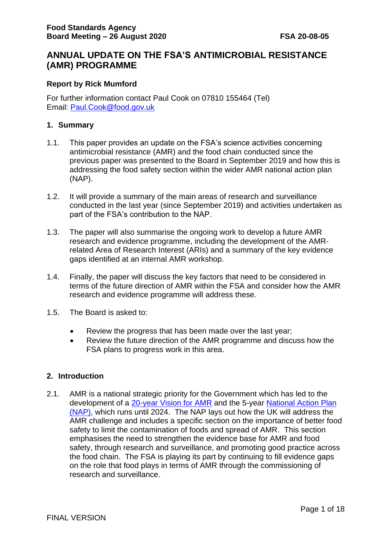# **ANNUAL UPDATE ON THE FSA'S ANTIMICROBIAL RESISTANCE (AMR) PROGRAMME**

#### **Report by Rick Mumford**

For further information contact Paul Cook on 07810 155464 (Tel) Email: [Paul.Cook@food.gov.uk](mailto:Paul.Cook@food.gov.uk)

#### **1. Summary**

- 1.1. This paper provides an update on the FSA's science activities concerning antimicrobial resistance (AMR) and the food chain conducted since the previous paper was presented to the Board in September 2019 and how this is addressing the food safety section within the wider AMR national action plan (NAP).
- 1.2. It will provide a summary of the main areas of research and surveillance conducted in the last year (since September 2019) and activities undertaken as part of the FSA's contribution to the NAP.
- 1.3. The paper will also summarise the ongoing work to develop a future AMR research and evidence programme, including the development of the AMRrelated Area of Research Interest (ARIs) and a summary of the key evidence gaps identified at an internal AMR workshop.
- 1.4. Finally, the paper will discuss the key factors that need to be considered in terms of the future direction of AMR within the FSA and consider how the AMR research and evidence programme will address these.
- 1.5. The Board is asked to:
	- Review the progress that has been made over the last year;
	- Review the future direction of the AMR programme and discuss how the FSA plans to progress work in this area.

#### **2. Introduction**

2.1. AMR is a national strategic priority for the Government which has led to the development of a [20-year Vision for AMR](https://www.gov.uk/government/publications/uk-20-year-vision-for-antimicrobial-resistance) and the 5-year National Action Plan [\(NAP\),](https://www.gov.uk/government/publications/uk-5-year-action-plan-for-antimicrobial-resistance-2019-to-2024) which runs until 2024. The NAP lays out how the UK will address the AMR challenge and includes a specific section on the importance of better food safety to limit the contamination of foods and spread of AMR. This section emphasises the need to strengthen the evidence base for AMR and food safety, through research and surveillance, and promoting good practice across the food chain. The FSA is playing its part by continuing to fill evidence gaps on the role that food plays in terms of AMR through the commissioning of research and surveillance.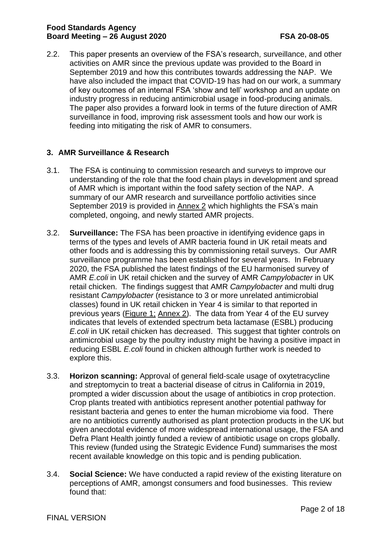2.2. This paper presents an overview of the FSA's research, surveillance, and other activities on AMR since the previous update was provided to the Board in September 2019 and how this contributes towards addressing the NAP. We have also included the impact that COVID-19 has had on our work, a summary of key outcomes of an internal FSA 'show and tell' workshop and an update on industry progress in reducing antimicrobial usage in food-producing animals. The paper also provides a forward look in terms of the future direction of AMR surveillance in food, improving risk assessment tools and how our work is feeding into mitigating the risk of AMR to consumers.

## **3. AMR Surveillance & Research**

- 3.1. The FSA is continuing to commission research and surveys to improve our understanding of the role that the food chain plays in development and spread of AMR which is important within the food safety section of the NAP. A summary of our AMR research and surveillance portfolio activities since September 2019 is provided in [Annex 2](#page-9-0) which highlights the FSA's main completed, ongoing, and newly started AMR projects.
- 3.2. **Surveillance:** The FSA has been proactive in identifying evidence gaps in terms of the types and levels of AMR bacteria found in UK retail meats and other foods and is addressing this by commissioning retail surveys. Our AMR surveillance programme has been established for several years. In February 2020, the FSA published the latest findings of the EU harmonised survey of AMR *E.coli* in UK retail chicken and the survey of AMR *Campylobacter* in UK retail chicken. The findings suggest that AMR *Campylobacter* and multi drug resistant *Campylobacter* (resistance to 3 or more unrelated antimicrobial classes) found in UK retail chicken in Year 4 is similar to that reported in previous years [\(Figure 1;](#page-10-0) [Annex 2\)](#page-9-0). The data from Year 4 of the EU survey indicates that levels of extended spectrum beta lactamase (ESBL) producing *E.coli* in UK retail chicken has decreased. This suggest that tighter controls on antimicrobial usage by the poultry industry might be having a positive impact in reducing ESBL *E.coli* found in chicken although further work is needed to explore this.
- 3.3. **Horizon scanning:** Approval of general field-scale usage of oxytetracycline and streptomycin to treat a bacterial disease of citrus in California in 2019, prompted a wider discussion about the usage of antibiotics in crop protection. Crop plants treated with antibiotics represent another potential pathway for resistant bacteria and genes to enter the human microbiome via food. There are no antibiotics currently authorised as plant protection products in the UK but given anecdotal evidence of more widespread international usage, the FSA and Defra Plant Health jointly funded a review of antibiotic usage on crops globally. This review (funded using the Strategic Evidence Fund) summarises the most recent available knowledge on this topic and is pending publication.
- 3.4. **Social Science:** We have conducted a rapid review of the existing literature on perceptions of AMR, amongst consumers and food businesses. This review found that: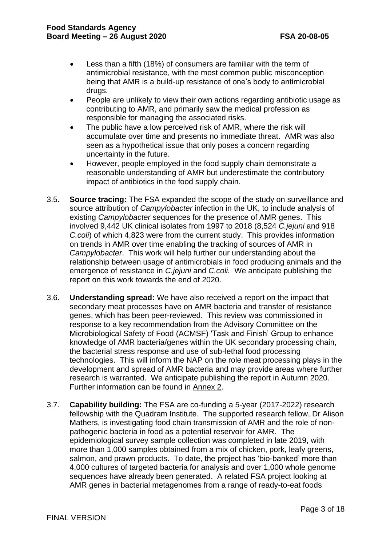- Less than a fifth (18%) of consumers are familiar with the term of antimicrobial resistance, with the most common public misconception being that AMR is a build-up resistance of one's body to antimicrobial drugs.
- People are unlikely to view their own actions regarding antibiotic usage as contributing to AMR, and primarily saw the medical profession as responsible for managing the associated risks.
- The public have a low perceived risk of AMR, where the risk will accumulate over time and presents no immediate threat. AMR was also seen as a hypothetical issue that only poses a concern regarding uncertainty in the future.
- However, people employed in the food supply chain demonstrate a reasonable understanding of AMR but underestimate the contributory impact of antibiotics in the food supply chain.
- 3.5. **Source tracing:** The FSA expanded the scope of the study on surveillance and source attribution of *Campylobacter* infection in the UK, to include analysis of existing *Campylobacter* sequences for the presence of AMR genes. This involved 9,442 UK clinical isolates from 1997 to 2018 (8,524 *C.jejuni* and 918 *C.coli*) of which 4,823 were from the current study. This provides information on trends in AMR over time enabling the tracking of sources of AMR in *Campylobacter*. This work will help further our understanding about the relationship between usage of antimicrobials in food producing animals and the emergence of resistance in *C.jejuni* and *C.coli.* We anticipate publishing the report on this work towards the end of 2020.
- 3.6. **Understanding spread:** We have also received a report on the impact that secondary meat processes have on AMR bacteria and transfer of resistance genes, which has been peer-reviewed. This review was commissioned in response to a key recommendation from the Advisory Committee on the Microbiological Safety of Food (ACMSF) 'Task and Finish' Group to enhance knowledge of AMR bacteria/genes within the UK secondary processing chain, the bacterial stress response and use of sub-lethal food processing technologies. This will inform the NAP on the role meat processing plays in the development and spread of AMR bacteria and may provide areas where further research is warranted. We anticipate publishing the report in Autumn 2020. Further information can be found in [Annex 2.](#page-9-0)
- 3.7. **Capability building:** The FSA are co-funding a 5-year (2017-2022) research fellowship with the Quadram Institute. The supported research fellow, Dr Alison Mathers, is investigating food chain transmission of AMR and the role of nonpathogenic bacteria in food as a potential reservoir for AMR. The epidemiological survey sample collection was completed in late 2019, with more than 1,000 samples obtained from a mix of chicken, pork, leafy greens, salmon, and prawn products. To date, the project has 'bio-banked' more than 4,000 cultures of targeted bacteria for analysis and over 1,000 whole genome sequences have already been generated. A related FSA project looking at AMR genes in bacterial metagenomes from a range of ready-to-eat foods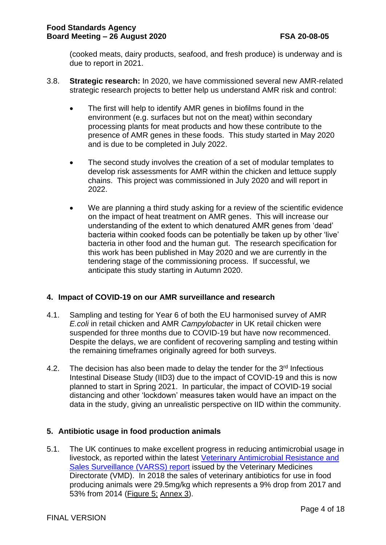(cooked meats, dairy products, seafood, and fresh produce) is underway and is due to report in 2021.

- 3.8. **Strategic research:** In 2020, we have commissioned several new AMR-related strategic research projects to better help us understand AMR risk and control:
	- The first will help to identify AMR genes in biofilms found in the environment (e.g. surfaces but not on the meat) within secondary processing plants for meat products and how these contribute to the presence of AMR genes in these foods. This study started in May 2020 and is due to be completed in July 2022.
	- The second study involves the creation of a set of modular templates to develop risk assessments for AMR within the chicken and lettuce supply chains. This project was commissioned in July 2020 and will report in 2022.
	- We are planning a third study asking for a review of the scientific evidence on the impact of heat treatment on AMR genes. This will increase our understanding of the extent to which denatured AMR genes from 'dead' bacteria within cooked foods can be potentially be taken up by other 'live' bacteria in other food and the human gut. The research specification for this work has been published in May 2020 and we are currently in the tendering stage of the commissioning process. If successful, we anticipate this study starting in Autumn 2020.

## **4. Impact of COVID-19 on our AMR surveillance and research**

- 4.1. Sampling and testing for Year 6 of both the EU harmonised survey of AMR *E.coli* in retail chicken and AMR *Campylobacter* in UK retail chicken were suspended for three months due to COVID-19 but have now recommenced. Despite the delays, we are confident of recovering sampling and testing within the remaining timeframes originally agreed for both surveys.
- 4.2. The decision has also been made to delay the tender for the  $3<sup>rd</sup>$  Infectious Intestinal Disease Study (IID3) due to the impact of COVID-19 and this is now planned to start in Spring 2021. In particular, the impact of COVID-19 social distancing and other 'lockdown' measures taken would have an impact on the data in the study, giving an unrealistic perspective on IID within the community.

## **5. Antibiotic usage in food production animals**

5.1. The UK continues to make excellent progress in reducing antimicrobial usage in livestock, as reported within the latest [Veterinary Antimicrobial Resistance and](https://www.gov.uk/government/publications/veterinary-antimicrobial-resistance-and-sales-surveillance-2018)  [Sales Surveillance \(VARSS\) report](https://www.gov.uk/government/publications/veterinary-antimicrobial-resistance-and-sales-surveillance-2018) issued by the Veterinary Medicines Directorate (VMD). In 2018 the sales of veterinary antibiotics for use in food producing animals were 29.5mg/kg which represents a 9% drop from 2017 and 53% from 2014 [\(Figure 5;](#page-15-0) [Annex 3\)](#page-15-1).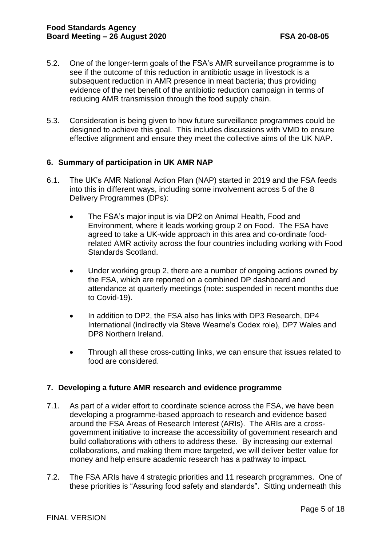- 5.2. One of the longer-term goals of the FSA's AMR surveillance programme is to see if the outcome of this reduction in antibiotic usage in livestock is a subsequent reduction in AMR presence in meat bacteria; thus providing evidence of the net benefit of the antibiotic reduction campaign in terms of reducing AMR transmission through the food supply chain.
- 5.3. Consideration is being given to how future surveillance programmes could be designed to achieve this goal. This includes discussions with VMD to ensure effective alignment and ensure they meet the collective aims of the UK NAP.

#### **6. Summary of participation in UK AMR NAP**

- 6.1. The UK's AMR National Action Plan (NAP) started in 2019 and the FSA feeds into this in different ways, including some involvement across 5 of the 8 Delivery Programmes (DPs):
	- The FSA's major input is via DP2 on Animal Health, Food and Environment, where it leads working group 2 on Food. The FSA have agreed to take a UK-wide approach in this area and co-ordinate foodrelated AMR activity across the four countries including working with Food Standards Scotland.
	- Under working group 2, there are a number of ongoing actions owned by the FSA, which are reported on a combined DP dashboard and attendance at quarterly meetings (note: suspended in recent months due to Covid-19).
	- In addition to DP2, the FSA also has links with DP3 Research, DP4 International (indirectly via Steve Wearne's Codex role), DP7 Wales and DP8 Northern Ireland.
	- Through all these cross-cutting links, we can ensure that issues related to food are considered.

#### **7. Developing a future AMR research and evidence programme**

- 7.1. As part of a wider effort to coordinate science across the FSA, we have been developing a programme-based approach to research and evidence based around the [FSA Areas of Research Interest](https://www.food.gov.uk/about-us/areas-of-research-interest) (ARIs). The ARIs are a crossgovernment initiative to increase the accessibility of government research and build collaborations with others to address these. By increasing our external collaborations, and making them more targeted, we will deliver better value for money and help ensure academic research has a pathway to impact.
- 7.2. The FSA ARIs have 4 strategic priorities and 11 research programmes. One of these priorities is "Assuring food safety and standards". Sitting underneath this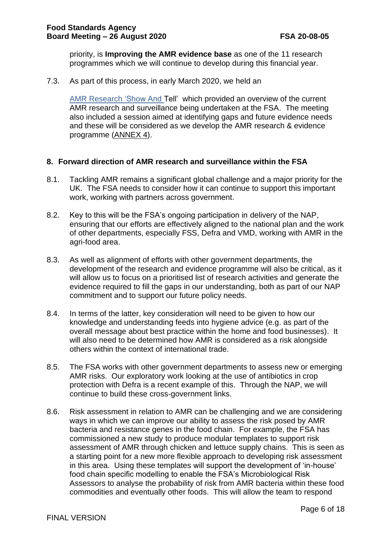priority, is **Improving the AMR evidence base** as one of the 11 research programmes which we will continue to develop during this financial year.

7.3. As part of this process, in early March 2020, we held an

AMR [Research 'Show And Tell'](#page-17-0) which provided an overview of the current AMR research and surveillance being undertaken at the FSA. The meeting also included a session aimed at identifying gaps and future evidence needs and these will be considered as we develop the AMR research & evidence programme [\(ANNEX 4\)](#page-17-0).

#### **8. Forward direction of AMR research and surveillance within the FSA**

- 8.1. Tackling AMR remains a significant global challenge and a major priority for the UK. The FSA needs to consider how it can continue to support this important work, working with partners across government.
- 8.2. Key to this will be the FSA's ongoing participation in delivery of the NAP, ensuring that our efforts are effectively aligned to the national plan and the work of other departments, especially FSS, Defra and VMD, working with AMR in the agri-food area.
- 8.3. As well as alignment of efforts with other government departments, the development of the research and evidence programme will also be critical, as it will allow us to focus on a prioritised list of research activities and generate the evidence required to fill the gaps in our understanding, both as part of our NAP commitment and to support our future policy needs.
- 8.4. In terms of the latter, key consideration will need to be given to how our knowledge and understanding feeds into hygiene advice (e.g. as part of the overall message about best practice within the home and food businesses). It will also need to be determined how AMR is considered as a risk alongside others within the context of international trade.
- 8.5. The FSA works with other government departments to assess new or emerging AMR risks. Our exploratory work looking at the use of antibiotics in crop protection with Defra is a recent example of this. Through the NAP, we will continue to build these cross-government links.
- 8.6. Risk assessment in relation to AMR can be challenging and we are considering ways in which we can improve our ability to assess the risk posed by AMR bacteria and resistance genes in the food chain. For example, the FSA has commissioned a new study to produce modular templates to support risk assessment of AMR through chicken and lettuce supply chains. This is seen as a starting point for a new more flexible approach to developing risk assessment in this area. Using these templates will support the development of 'in-house' food chain specific modelling to enable the FSA's Microbiological Risk Assessors to analyse the probability of risk from AMR bacteria within these food commodities and eventually other foods. This will allow the team to respond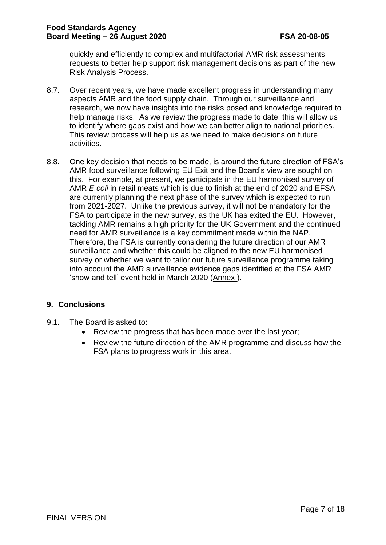quickly and efficiently to complex and multifactorial AMR risk assessments requests to better help support risk management decisions as part of the new Risk Analysis Process.

- 8.7. Over recent years, we have made excellent progress in understanding many aspects AMR and the food supply chain. Through our surveillance and research, we now have insights into the risks posed and knowledge required to help manage risks. As we review the progress made to date, this will allow us to identify where gaps exist and how we can better align to national priorities. This review process will help us as we need to make decisions on future activities.
- 8.8. One key decision that needs to be made, is around the future direction of FSA's AMR food surveillance following EU Exit and the Board's view are sought on this. For example, at present, we participate in the EU harmonised survey of AMR *E.coli* in retail meats which is due to finish at the end of 2020 and EFSA are currently planning the next phase of the survey which is expected to run from 2021-2027. Unlike the previous survey, it will not be mandatory for the FSA to participate in the new survey, as the UK has exited the EU. However, tackling AMR remains a high priority for the UK Government and the continued need for AMR surveillance is a key commitment made within the NAP. Therefore, the FSA is currently considering the future direction of our AMR surveillance and whether this could be aligned to the new EU harmonised survey or whether we want to tailor our future surveillance programme taking into account the AMR surveillance evidence gaps identified at the FSA AMR 'show and tell' event held in March 2020 [\(Annex \)](#page-17-1).

## **9. Conclusions**

- 9.1. The Board is asked to:
	- Review the progress that has been made over the last year;
	- Review the future direction of the AMR programme and discuss how the FSA plans to progress work in this area.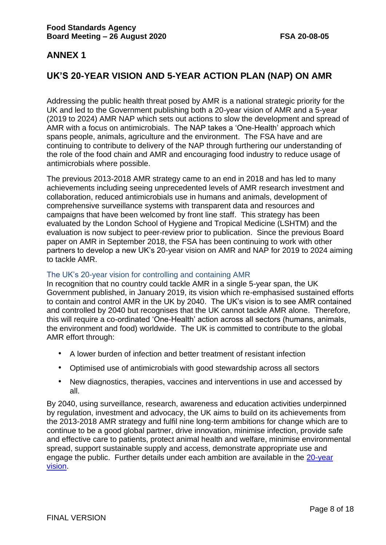# **UK'S 20-YEAR VISION AND 5-YEAR ACTION PLAN (NAP) ON AMR**

Addressing the public health threat posed by AMR is a national strategic priority for the UK and led to the Government publishing both a 20-year vision of AMR and a 5-year (2019 to 2024) AMR NAP which sets out actions to slow the development and spread of AMR with a focus on antimicrobials. The NAP takes a 'One-Health' approach which spans people, animals, agriculture and the environment. The FSA have and are continuing to contribute to delivery of the NAP through furthering our understanding of the role of the food chain and AMR and encouraging food industry to reduce usage of antimicrobials where possible.

The previous 2013-2018 AMR strategy came to an end in 2018 and has led to many achievements including seeing unprecedented levels of AMR research investment and collaboration, reduced antimicrobials use in humans and animals, development of comprehensive surveillance systems with transparent data and resources and campaigns that have been welcomed by front line staff. This strategy has been evaluated by the London School of Hygiene and Tropical Medicine (LSHTM) and the evaluation is now subject to peer-review prior to publication. Since the previous Board paper on AMR in September 2018, the FSA has been continuing to work with other partners to develop a new UK's 20-year vision on AMR and NAP for 2019 to 2024 aiming to tackle AMR.

#### The UK's 20-year vision for controlling and containing AMR

In recognition that no country could tackle AMR in a single 5-year span, the UK Government published, in January 2019, its vision which re-emphasised sustained efforts to contain and control AMR in the UK by 2040. The UK's vision is to see AMR contained and controlled by 2040 but recognises that the UK cannot tackle AMR alone. Therefore, this will require a co-ordinated 'One-Health' action across all sectors (humans, animals, the environment and food) worldwide. The UK is committed to contribute to the global AMR effort through:

- A lower burden of infection and better treatment of resistant infection
- Optimised use of antimicrobials with good stewardship across all sectors
- New diagnostics, therapies, vaccines and interventions in use and accessed by all.

By 2040, using surveillance, research, awareness and education activities underpinned by regulation, investment and advocacy, the UK aims to build on its achievements from the 2013-2018 AMR strategy and fulfil nine long-term ambitions for change which are to continue to be a good global partner, drive innovation, minimise infection, provide safe and effective care to patients, protect animal health and welfare, minimise environmental spread, support sustainable supply and access, demonstrate appropriate use and engage the public. Further details under each ambition are available in the [20-year](https://www.gov.uk/government/publications/uk-20-year-vision-for-antimicrobial-resistance)  [vision.](https://www.gov.uk/government/publications/uk-20-year-vision-for-antimicrobial-resistance)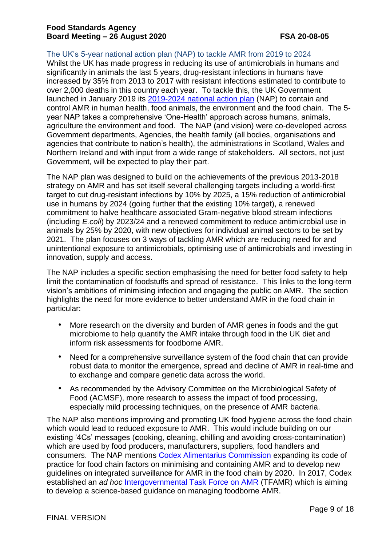The UK's 5-year national action plan (NAP) to tackle AMR from 2019 to 2024

Whilst the UK has made progress in reducing its use of antimicrobials in humans and significantly in animals the last 5 years, drug-resistant infections in humans have increased by 35% from 2013 to 2017 with resistant infections estimated to contribute to over 2,000 deaths in this country each year. To tackle this, the UK Government launched in January 2019 its [2019-2024 national action plan](https://www.gov.uk/government/publications/uk-5-year-action-plan-for-antimicrobial-resistance-2019-to-2024) (NAP) to contain and control AMR in human health, food animals, the environment and the food chain. The 5 year NAP takes a comprehensive 'One-Health' approach across humans, animals, agriculture the environment and food. The NAP (and vision) were co-developed across Government departments, Agencies, the health family (all bodies, organisations and agencies that contribute to nation's health), the administrations in Scotland, Wales and Northern Ireland and with input from a wide range of stakeholders. All sectors, not just Government, will be expected to play their part.

The NAP plan was designed to build on the achievements of the previous 2013-2018 strategy on AMR and has set itself several challenging targets including a world-first target to cut drug-resistant infections by 10% by 2025, a 15% reduction of antimicrobial use in humans by 2024 (going further that the existing 10% target), a renewed commitment to halve healthcare associated Gram-negative blood stream infections (including *E.coli*) by 2023/24 and a renewed commitment to reduce antimicrobial use in animals by 25% by 2020, with new objectives for individual animal sectors to be set by 2021. The plan focuses on 3 ways of tackling AMR which are reducing need for and unintentional exposure to antimicrobials, optimising use of antimicrobials and investing in innovation, supply and access.

The NAP includes a specific section emphasising the need for better food safety to help limit the contamination of foodstuffs and spread of resistance. This links to the long-term vision's ambitions of minimising infection and engaging the public on AMR. The section highlights the need for more evidence to better understand AMR in the food chain in particular:

- More research on the diversity and burden of AMR genes in foods and the gut microbiome to help quantify the AMR intake through food in the UK diet and inform risk assessments for foodborne AMR.
- Need for a comprehensive surveillance system of the food chain that can provide robust data to monitor the emergence, spread and decline of AMR in real-time and to exchange and compare genetic data across the world.
- As recommended by the Advisory Committee on the Microbiological Safety of Food (ACMSF), more research to assess the impact of food processing, especially mild processing techniques, on the presence of AMR bacteria.

The NAP also mentions improving and promoting UK food hygiene across the food chain which would lead to reduced exposure to AMR. This would include building on our existing '4Cs' messages (**c**ooking, **c**leaning, **c**hilling and avoiding **c**ross-contamination) which are used by food producers, manufacturers, suppliers, food handlers and consumers. The NAP mentions [Codex Alimentarius Commission](http://www.fao.org/fao-who-codexalimentarius/en/) expanding its code of practice for food chain factors on minimising and containing AMR and to develop new guidelines on integrated surveillance for AMR in the food chain by 2020. In 2017, Codex established an *ad hoc* [Intergovernmental Task Force on AMR](http://www.fao.org/fao-who-codexalimentarius/committees/committee/en/?committee=TFAMR) (TFAMR) which is aiming to develop a science-based guidance on managing foodborne AMR.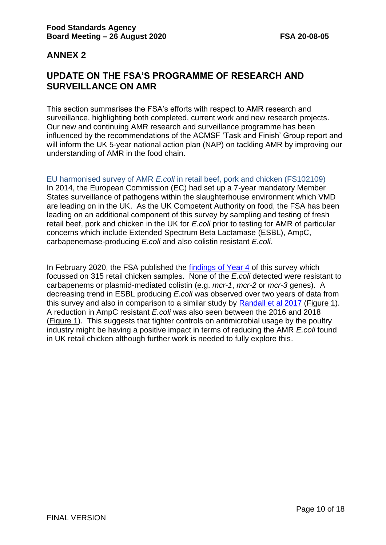# <span id="page-9-0"></span>**UPDATE ON THE FSA'S PROGRAMME OF RESEARCH AND SURVEILLANCE ON AMR**

This section summarises the FSA's efforts with respect to AMR research and surveillance, highlighting both completed, current work and new research projects. Our new and continuing AMR research and surveillance programme has been influenced by the recommendations of the ACMSF 'Task and Finish' Group report and will inform the UK 5-year national action plan (NAP) on tackling AMR by improving our understanding of AMR in the food chain.

EU harmonised survey of AMR *E.coli* in retail beef, pork and chicken (FS102109) In 2014, the European Commission (EC) had set up a 7-year mandatory Member States surveillance of pathogens within the slaughterhouse environment which VMD are leading on in the UK. As the UK Competent Authority on food, the FSA has been leading on an additional component of this survey by sampling and testing of fresh retail beef, pork and chicken in the UK for *E.coli* prior to testing for AMR of particular concerns which include Extended Spectrum Beta Lactamase (ESBL), AmpC, carbapenemase-producing *E.coli* and also colistin resistant *E.coli*.

In February 2020, the FSA published the [findings of Year 4](https://www.food.gov.uk/research/foodborne-diseases/eu-harmonised-survey-of-antimicrobial-resistance-amr-on-retail-meats-pork-and-beefchicken-0) of this survey which focussed on 315 retail chicken samples. None of the *E.coli* detected were resistant to carbapenems or plasmid-mediated colistin (e.g. *mcr-1*, *mcr-2* or *mcr-3* genes). A decreasing trend in ESBL producing *E.coli* was observed over two years of data from this survey and also in comparison to a similar study by [Randall et al 2017](https://www.sciencedirect.com/science/article/pii/S0168160516305827) [\(Figure 1\)](#page-10-0). A reduction in AmpC resistant *E.coli* was also seen between the 2016 and 2018 [\(Figure 1\)](#page-10-0). This suggests that tighter controls on antimicrobial usage by the poultry industry might be having a positive impact in terms of reducing the AMR *E.coli* found in UK retail chicken although further work is needed to fully explore this.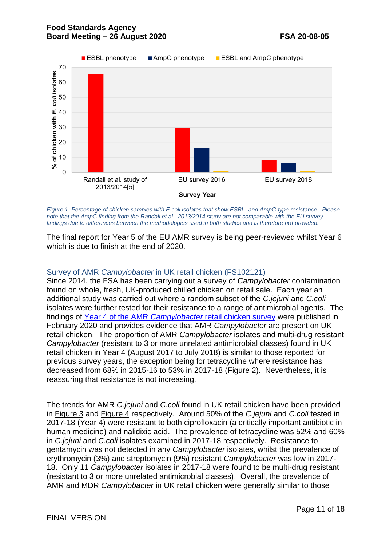

<span id="page-10-0"></span>*Figure 1: Percentage of chicken samples with E.coli isolates that show ESBL- and AmpC-type resistance. Please note that the AmpC finding from the [Randall et al. 2013/2014 study](https://www.sciencedirect.com/science/article/abs/pii/S0168160516305827) are not comparable with the EU survey findings due to differences between the methodologies used in both studies and is therefore not provided.*

The final report for Year 5 of the EU AMR survey is being peer-reviewed whilst Year 6 which is due to finish at the end of 2020.

#### Survey of AMR *Campylobacter* in UK retail chicken (FS102121)

Since 2014, the FSA has been carrying out a survey of *Campylobacter* contamination found on whole, fresh, UK-produced chilled chicken on retail sale. Each year an additional study was carried out where a random subset of the *C.jejuni* and *C.coli* isolates were further tested for their resistance to a range of antimicrobial agents. The findings of Year 4 of the AMR *Campylobacter* [retail chicken survey](https://www.food.gov.uk/research/research-projects/antimicrobial-resistance-in-campylobacter-jejuni-and-campylobacter-coli-from-retail-chilled-chicken-in-the-uk-0) were published in February 2020 and provides evidence that AMR *Campylobacter* are present on UK retail chicken. The proportion of AMR *Campylobacter* isolates and multi-drug resistant *Campylobacter* (resistant to 3 or more unrelated antimicrobial classes) found in UK retail chicken in Year 4 (August 2017 to July 2018) is similar to those reported for previous survey years, the exception being for tetracycline where resistance has decreased from 68% in 2015-16 to 53% in 2017-18 [\(Figure 2\)](#page-11-0). Nevertheless, it is reassuring that resistance is not increasing.

The trends for AMR *C.jejuni* and *C.coli* found in UK retail chicken have been provided in [Figure 3](#page-11-1) and [Figure 4](#page-12-0) respectively. Around 50% of the *C.jejuni* and *C.coli* tested in 2017-18 (Year 4) were resistant to both ciprofloxacin (a critically important antibiotic in human medicine) and nalidixic acid. The prevalence of tetracycline was 52% and 60% in *C.jejuni* and *C.coli* isolates examined in 2017-18 respectively. Resistance to gentamycin was not detected in any *Campylobacter* isolates, whilst the prevalence of erythromycin (3%) and streptomycin (9%) resistant *Campylobacter* was low in 2017- 18. Only 11 *Campylobacter* isolates in 2017-18 were found to be multi-drug resistant (resistant to 3 or more unrelated antimicrobial classes). Overall, the prevalence of AMR and MDR *Campylobacter* in UK retail chicken were generally similar to those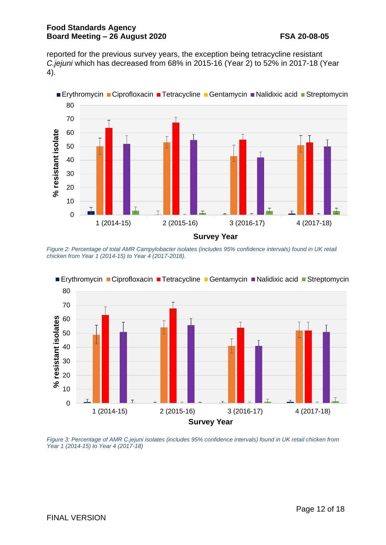reported for the previous survey years, the exception being tetracycline resistant *C.jejuni* which has decreased from 68% in 2015-16 (Year 2) to 52% in 2017-18 (Year 4).



<span id="page-11-0"></span>*Figure 2: Percentage of total AMR Campylobacter isolates (includes 95% confidence intervals) found in UK retail chicken from Year 1 (2014-15) to Year 4 (2017-2018).*



<span id="page-11-1"></span>*Figure 3: Percentage of AMR C.jejuni isolates (includes 95% confidence intervals) found in UK retail chicken from Year 1 (2014-15) to Year 4 (2017-18)*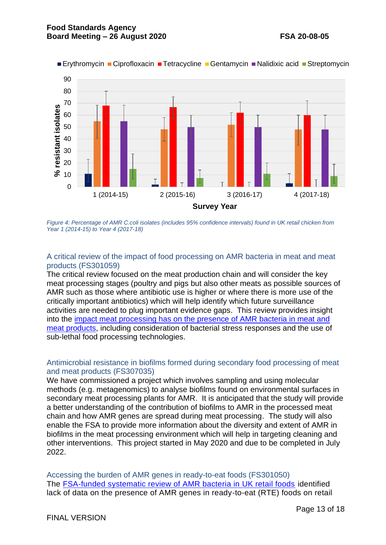

<span id="page-12-0"></span>*Figure 4: Percentage of AMR C.coli isolates (includes 95% confidence intervals) found in UK retail chicken from Year 1 (2014-15) to Year 4 (2017-18)*

#### A critical review of the impact of food processing on AMR bacteria in meat and meat products (FS301059)

The critical review focused on the meat production chain and will consider the key meat processing stages (poultry and pigs but also other meats as possible sources of AMR such as those where antibiotic use is higher or where there is more use of the critically important antibiotics) which will help identify which future surveillance activities are needed to plug important evidence gaps. This review provides insight into the [impact meat processing has on the presence of AMR bacteria in meat and](https://www.food.gov.uk/research/research-projects/a-critical-review-of-the-impact-of-food-processing-on-antimicrobial-resistant-amr-bacteria-in-meats-and-meat-products)  [meat products,](https://www.food.gov.uk/research/research-projects/a-critical-review-of-the-impact-of-food-processing-on-antimicrobial-resistant-amr-bacteria-in-meats-and-meat-products) including consideration of bacterial stress responses and the use of sub-lethal food processing technologies.

#### Antimicrobial resistance in biofilms formed during secondary food processing of meat and meat products (FS307035)

We have commissioned a project which involves sampling and using molecular methods (e.g. metagenomics) to analyse biofilms found on environmental surfaces in secondary meat processing plants for AMR. It is anticipated that the study will provide a better understanding of the contribution of biofilms to AMR in the processed meat chain and how AMR genes are spread during meat processing. The study will also enable the FSA to provide more information about the diversity and extent of AMR in biofilms in the meat processing environment which will help in targeting cleaning and other interventions. This project started in May 2020 and due to be completed in July 2022.

Accessing the burden of AMR genes in ready-to-eat foods (FS301050) The [FSA-funded systematic review of AMR bacteria in UK retail foods](https://www.food.gov.uk/research/foodborne-diseases/a-systematic-review-of-amr-bacteria-in-pork-poultry-dairy-products-seafood-and-fresh-produce-at-uk-retail-level) identified lack of data on the presence of AMR genes in ready-to-eat (RTE) foods on retail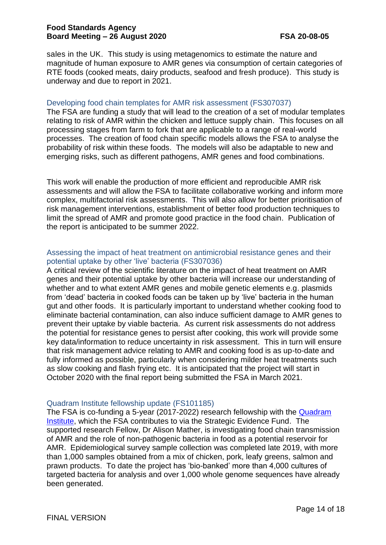sales in the UK. This study is using metagenomics to estimate the nature and magnitude of human exposure to AMR genes via consumption of certain categories of RTE foods (cooked meats, dairy products, seafood and fresh produce). This study is underway and due to report in 2021.

#### Developing food chain templates for AMR risk assessment (FS307037)

The FSA are funding a study that will lead to the creation of a set of modular templates relating to risk of AMR within the chicken and lettuce supply chain. This focuses on all processing stages from farm to fork that are applicable to a range of real-world processes. The creation of food chain specific models allows the FSA to analyse the probability of risk within these foods. The models will also be adaptable to new and emerging risks, such as different pathogens, AMR genes and food combinations.

This work will enable the production of more efficient and reproducible AMR risk assessments and will allow the FSA to facilitate collaborative working and inform more complex, multifactorial risk assessments. This will also allow for better prioritisation of risk management interventions, establishment of better food production techniques to limit the spread of AMR and promote good practice in the food chain. Publication of the report is anticipated to be summer 2022.

#### Assessing the impact of heat treatment on antimicrobial resistance genes and their potential uptake by other 'live' bacteria (FS307036)

A critical review of the scientific literature on the impact of heat treatment on AMR genes and their potential uptake by other bacteria will increase our understanding of whether and to what extent AMR genes and mobile genetic elements e.g. plasmids from 'dead' bacteria in cooked foods can be taken up by 'live' bacteria in the human gut and other foods. It is particularly important to understand whether cooking food to eliminate bacterial contamination, can also induce sufficient damage to AMR genes to prevent their uptake by viable bacteria. As current risk assessments do not address the potential for resistance genes to persist after cooking, this work will provide some key data/information to reduce uncertainty in risk assessment. This in turn will ensure that risk management advice relating to AMR and cooking food is as up-to-date and fully informed as possible, particularly when considering milder heat treatments such as slow cooking and flash frying etc. It is anticipated that the project will start in October 2020 with the final report being submitted the FSA in March 2021.

#### Quadram Institute fellowship update (FS101185)

The FSA is co-funding a 5-year (2017-2022) research fellowship with the [Quadram](https://quadram.ac.uk/) [Institute,](https://quadram.ac.uk/) which the FSA contributes to via the Strategic Evidence Fund. The supported research Fellow, Dr Alison Mather, is investigating food chain transmission of AMR and the role of non-pathogenic bacteria in food as a potential reservoir for AMR. Epidemiological survey sample collection was completed late 2019, with more than 1,000 samples obtained from a mix of chicken, pork, leafy greens, salmon and prawn products. To date the project has 'bio-banked' more than 4,000 cultures of targeted bacteria for analysis and over 1,000 whole genome sequences have already been generated.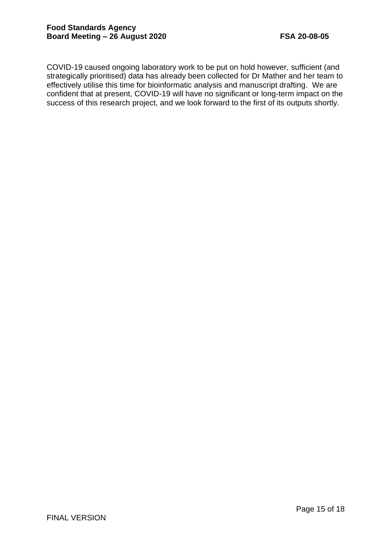COVID-19 caused ongoing laboratory work to be put on hold however, sufficient (and strategically prioritised) data has already been collected for Dr Mather and her team to effectively utilise this time for bioinformatic analysis and manuscript drafting. We are confident that at present, COVID-19 will have no significant or long-term impact on the success of this research project, and we look forward to the first of its outputs shortly.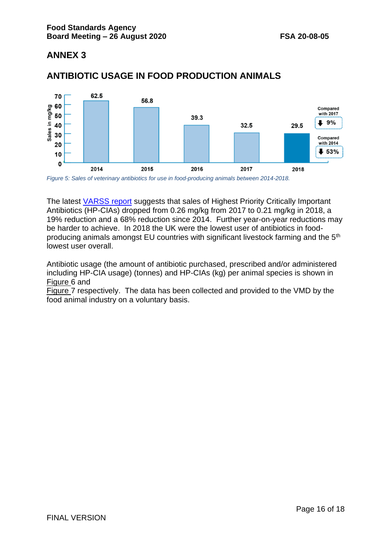

# <span id="page-15-1"></span>**ANTIBIOTIC USAGE IN FOOD PRODUCTION ANIMALS**

<span id="page-15-0"></span>*Figure 5: Sales of veterinary antibiotics for use in food-producing animals between 2014-2018.*

The latest [VARSS report](https://www.gov.uk/government/publications/veterinary-antimicrobial-resistance-and-sales-surveillance-2018) suggests that sales of Highest Priority Critically Important Antibiotics (HP-CIAs) dropped from 0.26 mg/kg from 2017 to 0.21 mg/kg in 2018, a 19% reduction and a 68% reduction since 2014. Further year-on-year reductions may be harder to achieve. In 2018 the UK were the lowest user of antibiotics in foodproducing animals amongst EU countries with significant livestock farming and the 5th lowest user overall.

Antibiotic usage (the amount of antibiotic purchased, prescribed and/or administered including HP[-CIA usage\) \(tonnes\) and HP-CIAs \(kg\) per animal species is shown in](#page-16-1) [Figure](#page-16-0) 6 and

[Figure](#page-16-1) 7 respectively. The data has been collected and provided to the VMD by the food animal industry on a voluntary basis.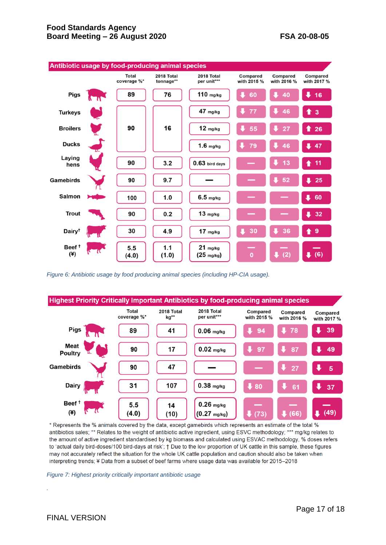

<span id="page-16-0"></span>*Figure 6: Antibiotic usage by food producing animal species (including HP-CIA usage).*



\* Represents the % animals covered by the data, except gamebirds which represents an estimate of the total % antibiotics sales; \*\* Relates to the weight of antibiotic active ingredient, using ESVC methodology; \*\*\* mg/kg relates to the amount of active ingredient standardised by kg biomass and calculated using ESVAC methodology, % doses refers to 'actual daily bird-doses/100 bird-days at risk'; † Due to the low proportion of UK cattle in this sample, these figures may not accurately reflect the situation for the whole UK cattle population and caution should also be taken when interpreting trends; ¥ Data from a subset of beef farms where usage data was available for 2015-2018

<span id="page-16-1"></span>*Figure 7: Highest priority critically important antibiotic usage*

*.*